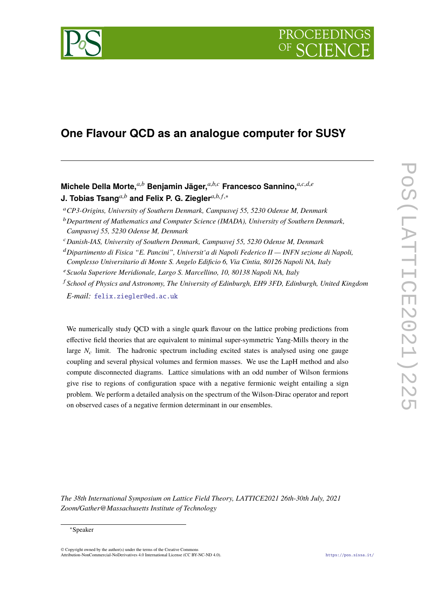

# **One Flavour QCD as an analogue computer for SUSY**

# **Michele Della Morte,***a*,*<sup>b</sup>* **Benjamin Jäger,***a*,*b*,*<sup>c</sup>* **Francesco Sannino,***a*,*c*,*d*,*<sup>e</sup>* **J. Tobias Tsang***a*,*<sup>b</sup>* **and Felix P. G. Ziegler***a*,*b*, *<sup>f</sup>*,<sup>∗</sup>

- <sup>a</sup>*CP3-Origins, University of Southern Denmark, Campusvej 55, 5230 Odense M, Denmark*
- <sup>b</sup>*Department of Mathematics and Computer Science (IMADA), University of Southern Denmark, Campusvej 55, 5230 Odense M, Denmark*
- <sup>c</sup>*Danish-IAS, University of Southern Denmark, Campusvej 55, 5230 Odense M, Denmark*
- <sup>d</sup>*Dipartimento di Fisica "E. Pancini", Universit'a di Napoli Federico II INFN sezione di Napoli,*
- *Complesso Universitario di Monte S. Angelo Edificio 6, Via Cintia, 80126 Napoli NA, Italy*
- <sup>e</sup>*Scuola Superiore Meridionale, Largo S. Marcellino, 10, 80138 Napoli NA, Italy*
- <sup>f</sup> *School of Physics and Astronomy, The University of Edinburgh, EH9 3FD, Edinburgh, United Kingdom E-mail:* [felix.ziegler@ed.ac.uk](mailto:felix.ziegler@ed.ac.uk)

We numerically study QCD with a single quark flavour on the lattice probing predictions from effective field theories that are equivalent to minimal super-symmetric Yang-Mills theory in the large  $N_c$  limit. The hadronic spectrum including excited states is analysed using one gauge coupling and several physical volumes and fermion masses. We use the LapH method and also compute disconnected diagrams. Lattice simulations with an odd number of Wilson fermions give rise to regions of configuration space with a negative fermionic weight entailing a sign problem. We perform a detailed analysis on the spectrum of the Wilson-Dirac operator and report on observed cases of a negative fermion determinant in our ensembles.

*The 38th International Symposium on Lattice Field Theory, LATTICE2021 26th-30th July, 2021 Zoom/Gather@Massachusetts Institute of Technology*

### <sup>∗</sup>Speaker

© Copyright owned by the author(s) under the terms of the Creative Commons Attribution-NonCommercial-NoDerivatives 4.0 International License (CC BY-NC-ND 4.0). <https://pos.sissa.it/>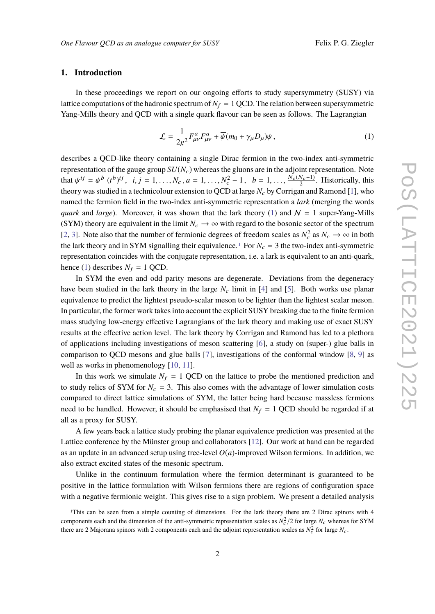# **1. Introduction**

In these proceedings we report on our ongoing efforts to study supersymmetry (SUSY) via lattice computations of the hadronic spectrum of  $N_f = 1$  QCD. The relation between supersymmetric Yang-Mills theory and QCD with a single quark flavour can be seen as follows. The Lagrangian

<span id="page-1-0"></span>
$$
\mathcal{L} = \frac{1}{2g^2} F_{\mu\nu}^a F_{\mu\nu}^a + \overline{\psi}(m_0 + \gamma_\mu D_\mu)\psi, \qquad (1)
$$

describes a QCD-like theory containing a single Dirac fermion in the two-index anti-symmetric representation of the gauge group  $SU(N_c)$  whereas the gluons are in the adjoint representation. Note that  $\psi^{ij} = \psi^b(t^b)^{ij}$ ,  $i, j = 1, ..., N_c$ ,  $a = 1, ..., N_c^2 - 1$ ,  $b = 1, ..., \frac{N_c(N_c-1)}{2}$ <br>theory was studied in a technical symptomic pCCD at large N, by Corrigon on  $\frac{(v_c-1)}{2}$ . Historically, this theory was studied in a technicolour extension to QCD at large *N*<sup>c</sup> by Corrigan and Ramond [\[1\]](#page-8-0), who named the fermion field in the two-index anti-symmetric representation a *lark* (merging the words *quark* and *large*). Moreover, it was shown that the lark theory [\(1\)](#page-1-0) and  $N = 1$  super-Yang-Mills (SYM) theory are equivalent in the limit  $N_c \rightarrow \infty$  with regard to the bosonic sector of the spectrum [\[2,](#page-8-1) [3\]](#page-8-2). Note also that the number of fermionic degrees of freedom scales as  $N_c^2$  as  $N_c \to \infty$  in both the lark theory and in SYM signalling their equivalence.<sup>[1](#page-1-1)</sup> For  $N_c = 3$  the two-index anti-symmetric representation coincides with the conjugate representation, i.e. a lark is equivalent to an anti-quark, hence [\(1\)](#page-1-0) describes  $N_f = 1$  QCD.

In SYM the even and odd parity mesons are degenerate. Deviations from the degeneracy have been studied in the lark theory in the large  $N_c$  limit in [\[4\]](#page-8-3) and [\[5\]](#page-8-4). Both works use planar equivalence to predict the lightest pseudo-scalar meson to be lighter than the lightest scalar meson. In particular, the former work takes into account the explicit SUSY breaking due to the finite fermion mass studying low-energy effective Lagrangians of the lark theory and making use of exact SUSY results at the effective action level. The lark theory by Corrigan and Ramond has led to a plethora of applications including investigations of meson scattering [\[6\]](#page-8-5), a study on (super-) glue balls in comparison to QCD mesons and glue balls [\[7\]](#page-8-6), investigations of the conformal window [\[8,](#page-8-7) [9\]](#page-8-8) as well as works in phenomenology [\[10,](#page-8-9) [11\]](#page-8-10).

In this work we simulate  $N_f = 1$  QCD on the lattice to probe the mentioned prediction and to study relics of SYM for  $N_c = 3$ . This also comes with the advantage of lower simulation costs compared to direct lattice simulations of SYM, the latter being hard because massless fermions need to be handled. However, it should be emphasised that  $N_f = 1$  QCD should be regarded if at all as a proxy for SUSY.

A few years back a lattice study probing the planar equivalence prediction was presented at the Lattice conference by the Münster group and collaborators [\[12\]](#page-8-11). Our work at hand can be regarded as an update in an advanced setup using tree-level *O*(*a*)-improved Wilson fermions. In addition, we also extract excited states of the mesonic spectrum.

Unlike in the continuum formulation where the fermion determinant is guaranteed to be positive in the lattice formulation with Wilson fermions there are regions of configuration space with a negative fermionic weight. This gives rise to a sign problem. We present a detailed analysis

<span id="page-1-1"></span><sup>1</sup>This can be seen from a simple counting of dimensions. For the lark theory there are 2 Dirac spinors with 4 components each and the dimension of the anti-symmetric representation scales as  $N_c^2/2$  for large  $N_c$  whereas for SYM there are 2 Majorana spinors with 2 components each and the adjoint representation scales as  $N_c^2$  for large  $N_c$ .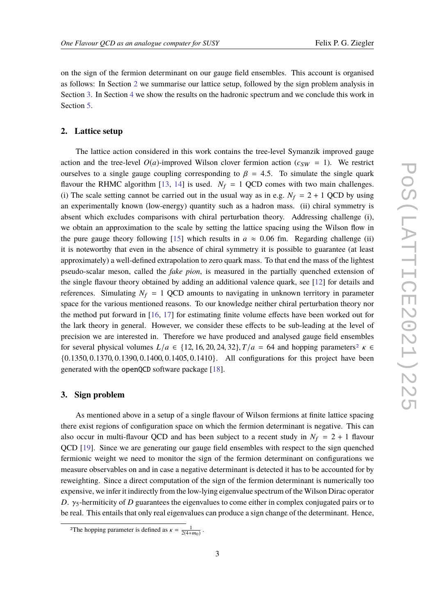on the sign of the fermion determinant on our gauge field ensembles. This account is organised as follows: In Section [2](#page-2-0) we summarise our lattice setup, followed by the sign problem analysis in Section [3.](#page-2-1) In Section [4](#page-4-0) we show the results on the hadronic spectrum and we conclude this work in Section [5.](#page-7-0)

# <span id="page-2-0"></span>**2. Lattice setup**

The lattice action considered in this work contains the tree-level Symanzik improved gauge action and the tree-level  $O(a)$ -improved Wilson clover fermion action  $(c_{SW} = 1)$ . We restrict ourselves to a single gauge coupling corresponding to  $\beta = 4.5$ . To simulate the single quark flavour the RHMC algorithm [\[13,](#page-8-12) [14\]](#page-8-13) is used.  $N_f = 1$  QCD comes with two main challenges. (i) The scale setting cannot be carried out in the usual way as in e.g.  $N_f = 2 + 1$  QCD by using an experimentally known (low-energy) quantity such as a hadron mass. (ii) chiral symmetry is absent which excludes comparisons with chiral perturbation theory. Addressing challenge (i), we obtain an approximation to the scale by setting the lattice spacing using the Wilson flow in the pure gauge theory following [\[15\]](#page-8-14) which results in  $a \approx 0.06$  fm. Regarding challenge (ii) it is noteworthy that even in the absence of chiral symmetry it is possible to guarantee (at least approximately) a well-defined extrapolation to zero quark mass. To that end the mass of the lightest pseudo-scalar meson, called the *fake pion*, is measured in the partially quenched extension of the single flavour theory obtained by adding an additional valence quark, see [\[12\]](#page-8-11) for details and references. Simulating  $N_f = 1$  QCD amounts to navigating in unknown territory in parameter space for the various mentioned reasons. To our knowledge neither chiral perturbation theory nor the method put forward in [\[16,](#page-8-15) [17\]](#page-8-16) for estimating finite volume effects have been worked out for the lark theory in general. However, we consider these effects to be sub-leading at the level of precision we are interested in. Therefore we have produced and analysed gauge field ensembles for several physical volumes  $L/a \in \{12, 16, 20, 24, 32\}$  $L/a \in \{12, 16, 20, 24, 32\}$  $L/a \in \{12, 16, 20, 24, 32\}$ ,  $T/a = 64$  and hopping parameters<sup>2</sup>  $\kappa \in$ {0.1350, <sup>0</sup>.1370, <sup>0</sup>.1390, <sup>0</sup>.1400, <sup>0</sup>.1405, <sup>0</sup>.1410}. All configurations for this project have been generated with the openQCD software package [\[18\]](#page-8-17).

# <span id="page-2-1"></span>**3. Sign problem**

As mentioned above in a setup of a single flavour of Wilson fermions at finite lattice spacing there exist regions of configuration space on which the fermion determinant is negative. This can also occur in multi-flavour QCD and has been subject to a recent study in  $N_f = 2 + 1$  flavour QCD [\[19\]](#page-8-18). Since we are generating our gauge field ensembles with respect to the sign quenched fermionic weight we need to monitor the sign of the fermion determinant on configurations we measure observables on and in case a negative determinant is detected it has to be accounted for by reweighting. Since a direct computation of the sign of the fermion determinant is numerically too expensive, we infer it indirectly from the low-lying eigenvalue spectrum of the Wilson Dirac operator *D.*  $\gamma$ <sub>5</sub>-hermiticity of *D* guarantees the eigenvalues to come either in complex conjugated pairs or to be real. This entails that only real eigenvalues can produce a sign change of the determinant. Hence,

<span id="page-2-2"></span><sup>&</sup>lt;sup>2</sup>The hopping parameter is defined as  $\kappa = \frac{1}{2(4+m_0)}$ .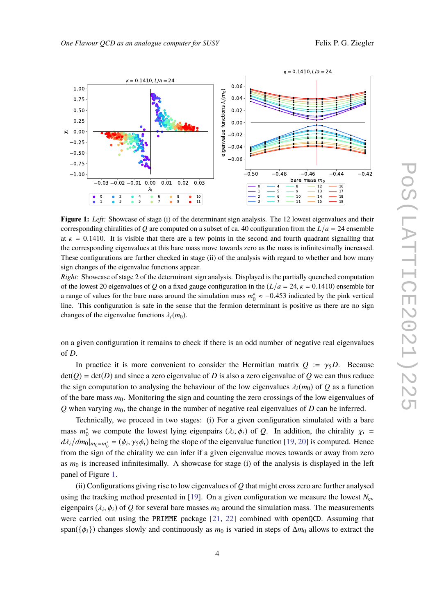<span id="page-3-0"></span>

**Figure 1:** *Left:* Showcase of stage (i) of the determinant sign analysis. The 12 lowest eigenvalues and their corresponding chiralities of *Q* are computed on a subset of ca. 40 configuration from the  $L/a = 24$  ensemble at  $\kappa = 0.1410$ . It is visible that there are a few points in the second and fourth quadrant signalling that the corresponding eigenvalues at this bare mass move towards zero as the mass is infinitesimally increased. These configurations are further checked in stage (ii) of the analysis with regard to whether and how many sign changes of the eigenvalue functions appear.

*Right:* Showcase of stage 2 of the determinant sign analysis. Displayed is the partially quenched computation of the lowest 20 eigenvalues of *Q* on a fixed gauge configuration in the  $(L/a = 24, \kappa = 0.1410)$  ensemble for a range of values for the bare mass around the simulation mass  $m_0^* \approx -0.453$  indicated by the pink vertical<br>line. This configuration is sofo in the same that the fermion determinant is positive as there are no sign line. This configuration is safe in the sense that the fermion determinant is positive as there are no sign changes of the eigenvalue functions  $\lambda_i(m_0)$ .

on a given configuration it remains to check if there is an odd number of negative real eigenvalues of *D*.

In practice it is more convenient to consider the Hermitian matrix  $Q := \gamma_5 D$ . Because  $\det(Q) = \det(D)$  and since a zero eigenvalue of *D* is also a zero eigenvalue of *Q* we can thus reduce the sign computation to analysing the behaviour of the low eigenvalues  $\lambda_i(m_0)$  of Q as a function of the bare mass *m*0. Monitoring the sign and counting the zero crossings of the low eigenvalues of  $Q$  when varying  $m_0$ , the change in the number of negative real eigenvalues of  $D$  can be inferred.

Technically, we proceed in two stages: (i) For a given configuration simulated with a bare mass  $m_0^*$  we compute the lowest lying eigenpairs  $(\lambda_i, \phi_i)$  of *Q*. In addition, the chirality  $\chi_i =$  $d\lambda_i/dm_0|_{m_0=m_0^*} = (\phi_i, \gamma_5 \phi_i)$  being the slope of the eigenvalue function [\[19,](#page-8-18) [20\]](#page-8-19) is computed. Hence from the sign of the chirality we can infer if a given eigenvalue moves towards or away from zero as *m*<sup>0</sup> is increased infinitesimally. A showcase for stage (i) of the analysis is displayed in the left panel of Figure [1.](#page-3-0)

(ii) Configurations giving rise to low eigenvalues of *Q* that might cross zero are further analysed using the tracking method presented in [\[19\]](#page-8-18). On a given configuration we measure the lowest *N*ev eigenpairs  $(\lambda_i, \phi_i)$  of *Q* for several bare masses  $m_0$  around the simulation mass. The measurements were carried out using the PRIMME package [\[21,](#page-8-20) [22\]](#page-8-21) combined with openQCD. Assuming that span( $\{\phi_i\}$ ) changes slowly and continuously as *m*<sub>0</sub> is varied in steps of  $\Delta m_0$  allows to extract the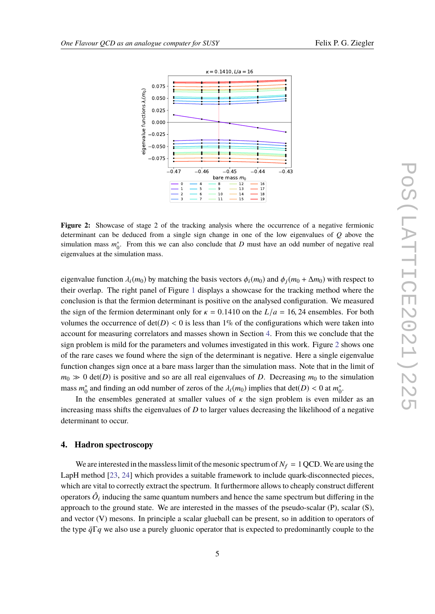<span id="page-4-1"></span>

**Figure 2:** Showcase of stage 2 of the tracking analysis where the occurrence of a negative fermionic determinant can be deduced from a single sign change in one of the low eigenvalues of *Q* above the simulation mass  $m_0^*$ . From this we can also conclude that *D* must have an odd number of negative real eigenvalues at the simulation mass.

eigenvalue function  $\lambda_i(m_0)$  by matching the basis vectors  $\phi_i(m_0)$  and  $\phi_j(m_0 + \Delta m_0)$  with respect to their overlap. The right panel of Figure [1](#page-3-0) displays a showcase for the tracking method where the conclusion is that the fermion determinant is positive on the analysed configuration. We measured the sign of the fermion determinant only for  $\kappa = 0.1410$  on the  $L/a = 16, 24$  ensembles. For both volumes the occurrence of  $det(D) < 0$  is less than 1% of the configurations which were taken into account for measuring correlators and masses shown in Section [4.](#page-4-0) From this we conclude that the sign problem is mild for the parameters and volumes investigated in this work. Figure [2](#page-4-1) shows one of the rare cases we found where the sign of the determinant is negative. Here a single eigenvalue function changes sign once at a bare mass larger than the simulation mass. Note that in the limit of  $m_0 \gg 0$  det(*D*) is positive and so are all real eigenvalues of *D*. Decreasing  $m_0$  to the simulation mass *m*<sup>\*</sup><sub>0</sub> <sup>∗</sup><sub>0</sub> and finding an odd number of zeros of the  $\lambda_i(m_0)$  implies that det(*D*) < 0 at  $m_0^*$ <br>*the encouples congrated at emaller values of <i>u* the cian problem is even mi  $\overset{*}{\scriptscriptstyle{0}}$ .

In the ensembles generated at smaller values of  $\kappa$  the sign problem is even milder as an increasing mass shifts the eigenvalues of *D* to larger values decreasing the likelihood of a negative determinant to occur.

#### <span id="page-4-0"></span>**4. Hadron spectroscopy**

We are interested in the massless limit of the mesonic spectrum of  $N_f = 1$  QCD. We are using the LapH method [\[23,](#page-8-22) [24\]](#page-8-23) which provides a suitable framework to include quark-disconnected pieces, which are vital to correctly extract the spectrum. It furthermore allows to cheaply construct different operators  $\hat{O}_i$  inducing the same quantum numbers and hence the same spectrum but differing in the approach to the ground state. We are interested in the masses of the pseudo-scalar (P), scalar (S), and vector (V) mesons. In principle a scalar glueball can be present, so in addition to operators of the type *q*¯Γ*q* we also use a purely gluonic operator that is expected to predominantly couple to the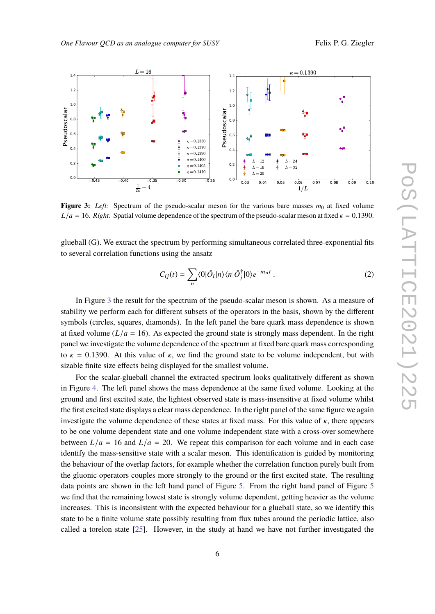<span id="page-5-0"></span>

**Figure 3:** *Left:* Spectrum of the pseudo-scalar meson for the various bare masses  $m_0$  at fixed volume  $L/a = 16$ . *Right:* Spatial volume dependence of the spectrum of the pseudo-scalar meson at fixed  $\kappa = 0.1390$ .

glueball (G). We extract the spectrum by performing simultaneous correlated three-exponential fits to several correlation functions using the ansatz

$$
C_{ij}(t) = \sum_{n} \langle 0|\hat{O}_i|n\rangle \langle n|\hat{O}_j^{\dagger}|0\rangle e^{-m_n t} . \qquad (2)
$$

In Figure [3](#page-5-0) the result for the spectrum of the pseudo-scalar meson is shown. As a measure of stability we perform each for different subsets of the operators in the basis, shown by the different symbols (circles, squares, diamonds). In the left panel the bare quark mass dependence is shown at fixed volume  $(L/a = 16)$ . As expected the ground state is strongly mass dependent. In the right panel we investigate the volume dependence of the spectrum at fixed bare quark mass corresponding to  $\kappa = 0.1390$ . At this value of  $\kappa$ , we find the ground state to be volume independent, but with sizable finite size effects being displayed for the smallest volume.

For the scalar-glueball channel the extracted spectrum looks qualitatively different as shown in Figure [4.](#page-6-0) The left panel shows the mass dependence at the same fixed volume. Looking at the ground and first excited state, the lightest observed state is mass-insensitive at fixed volume whilst the first excited state displays a clear mass dependence. In the right panel of the same figure we again investigate the volume dependence of these states at fixed mass. For this value of  $\kappa$ , there appears to be one volume dependent state and one volume independent state with a cross-over somewhere between  $L/a = 16$  and  $L/a = 20$ . We repeat this comparison for each volume and in each case identify the mass-sensitive state with a scalar meson. This identification is guided by monitoring the behaviour of the overlap factors, for example whether the correlation function purely built from the gluonic operators couples more strongly to the ground or the first excited state. The resulting data points are shown in the left hand panel of Figure [5.](#page-6-1) From the right hand panel of Figure [5](#page-6-1) we find that the remaining lowest state is strongly volume dependent, getting heavier as the volume increases. This is inconsistent with the expected behaviour for a glueball state, so we identify this state to be a finite volume state possibly resulting from flux tubes around the periodic lattice, also called a torelon state [\[25\]](#page-8-24). However, in the study at hand we have not further investigated the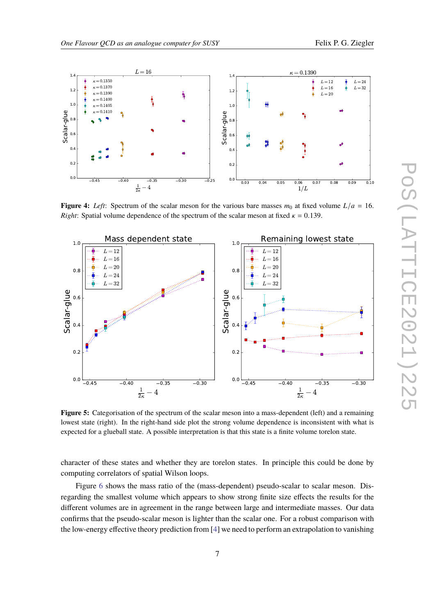<span id="page-6-0"></span>

**Figure 4:** *Left*: Spectrum of the scalar meson for the various bare masses  $m_0$  at fixed volume  $L/a = 16$ . *Right*: Spatial volume dependence of the spectrum of the scalar meson at fixed  $\kappa = 0.139$ .

<span id="page-6-1"></span>

**Figure 5:** Categorisation of the spectrum of the scalar meson into a mass-dependent (left) and a remaining lowest state (right). In the right-hand side plot the strong volume dependence is inconsistent with what is expected for a glueball state. A possible interpretation is that this state is a finite volume torelon state.

character of these states and whether they are torelon states. In principle this could be done by computing correlators of spatial Wilson loops.

Figure [6](#page-7-1) shows the mass ratio of the (mass-dependent) pseudo-scalar to scalar meson. Disregarding the smallest volume which appears to show strong finite size effects the results for the different volumes are in agreement in the range between large and intermediate masses. Our data confirms that the pseudo-scalar meson is lighter than the scalar one. For a robust comparison with the low-energy effective theory prediction from [\[4\]](#page-8-3) we need to perform an extrapolation to vanishing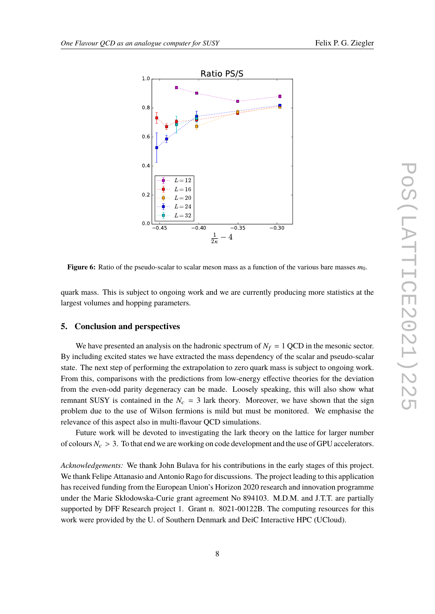<span id="page-7-1"></span>

**Figure 6:** Ratio of the pseudo-scalar to scalar meson mass as a function of the various bare masses  $m_0$ .

quark mass. This is subject to ongoing work and we are currently producing more statistics at the largest volumes and hopping parameters.

# <span id="page-7-0"></span>**5. Conclusion and perspectives**

We have presented an analysis on the hadronic spectrum of  $N_f = 1$  QCD in the mesonic sector. By including excited states we have extracted the mass dependency of the scalar and pseudo-scalar state. The next step of performing the extrapolation to zero quark mass is subject to ongoing work. From this, comparisons with the predictions from low-energy effective theories for the deviation from the even-odd parity degeneracy can be made. Loosely speaking, this will also show what remnant SUSY is contained in the  $N_c = 3$  lark theory. Moreover, we have shown that the sign problem due to the use of Wilson fermions is mild but must be monitored. We emphasise the relevance of this aspect also in multi-flavour QCD simulations.

Future work will be devoted to investigating the lark theory on the lattice for larger number of colours  $N_c > 3$ . To that end we are working on code development and the use of GPU accelerators.

*Acknowledgements:* We thank John Bulava for his contributions in the early stages of this project. We thank Felipe Attanasio and Antonio Rago for discussions. The project leading to this application has received funding from the European Union's Horizon 2020 research and innovation programme under the Marie Skłodowska-Curie grant agreement No 894103. M.D.M. and J.T.T. are partially supported by DFF Research project 1. Grant n. 8021-00122B. The computing resources for this work were provided by the U. of Southern Denmark and DeiC Interactive HPC (UCloud).